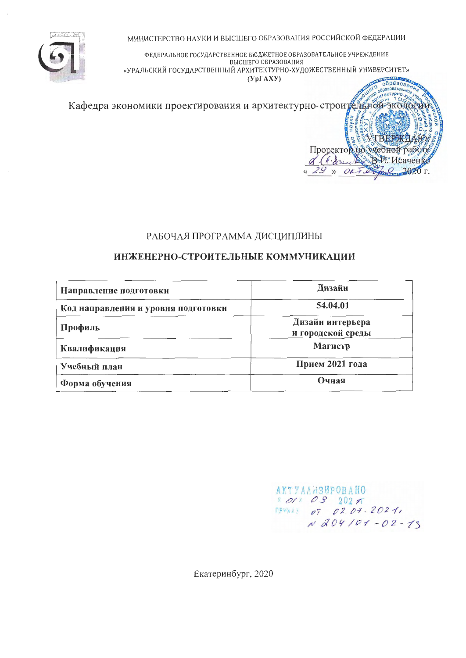МИНИСТЕРСТВО НАУКИ И ВЫСШЕГО ОБРАЗОВАНИЯ РОССИЙСКОЙ ФЕДЕРАЦИИ



ФЕДЕРАЛЬНОЕ ГОСУДАРСТВЕННОЕ БЮДЖЕТНОЕ ОБРАЗОВАТЕЛЬНОЕ УЧРЕЖДЕНИЕ ВЫСШЕГО ОБРАЗОВАНИЯ «УРАЛЬСКИЙ ГОСУДАРСТВЕННЫЙ АРХИТЕКТУРНО-ХУДОЖЕСТВЕННЫЙ УНИВЕРСИТЕТ»  $(YpFAXY)$  $\overline{\text{a}}\overline{\text{a}}\overline{\text{b}}$ 



## РАБОЧАЯ ПРОГРАММА ДИСЦИПЛИНЫ

## ИНЖЕНЕРНО-СТРОИТЕЛЬНЫЕ КОММУНИКАЦИИ

| Направление подготовки              | Дизайн                                |
|-------------------------------------|---------------------------------------|
| Код направления и уровня подготовки | 54.04.01                              |
| Профиль                             | Дизайн интерьера<br>и городской среды |
| Квалификация                        | Магистр                               |
| Учебный план                        | Прием 2021 года                       |
| Форма обучения                      | Очная                                 |

**АКТУАЛИЗИРОВАНО** 1011 08 2021 **MPWKAS OT 02.09.2021,**  $N 204101 - 02 - 13$ 

Екатеринбург, 2020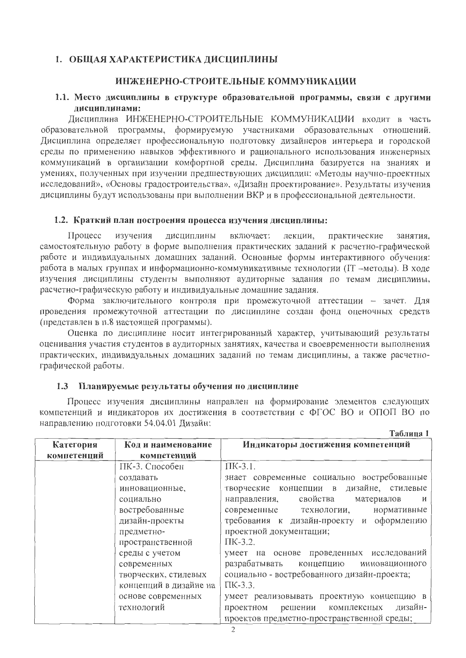## 1. ОБЩАЯ ХАРАКТЕРИСТИКА ДИСЦИПЛИНЫ

### ИНЖЕНЕРНО-СТРОИТЕЛЬНЫЕ КОММУНИКАЦИИ

## 1.1. Место дисциплины в структуре образовательной программы, связи с другими лиспиплинами:

Дисциплина ИНЖЕНЕРНО-СТРОИТЕЛЬНЫЕ КОММУНИКАЦИИ входит в часть образовательной программы, формируемую участниками образовательных отношений. Дисциплина определяет профессиональную подготовку дизайнеров интерьера и городской среды по применению навыков эффективного и рационального использования инженерных коммуникаций в организации комфортной среды. Дисциплина базируется на знаниях и умениях, полученных при изучении предшествующих дисциплин: «Методы научно-проектных исследований», «Основы градостроительства», «Дизайн проектирование». Результаты изучения дисциплины будут использованы при выполнении ВКР и в профессиональной деятельности.

#### 1.2. Краткий план построения процесса изучения дисциплины:

Процесс изучения дисциплины включает: лекции, практические занятия. самостоятельную работу в форме выполнения практических заданий к расчетно-графической работе и индивидуальных домашних заданий. Основные формы интерактивного обучения: работа в малых группах и информационно-коммуникативные технологии (IT -методы). В ходе изучения дисциплины студенты выполняют аудиторные задания по темам дисциплины, расчетно-графическую работу и индивидуальные домашние задания.

Форма заключительного контроля при промежуточной аттестации - зачет. Для проведения промежуточной аттестации по дисциплине создан фонд оценочных средств (представлен в п.8 настоящей программы).

Оценка по дисциплине носит интегрированный характер, учитывающий результаты оценивания участия студентов в аудиторных занятиях, качества и своевременности выполнения практических, индивидуальных домашних заданий по темам дисциплины, а также расчетнографической работы.

#### Планируемые результаты обучения по дисциплине  $1.3$

Процесс изучения дисциплины направлен на формирование элементов следующих компетенций и индикаторов их достижения в соответствии с ФГОС ВО и ОПОП ВО по направлению подготовки 54.04.01 Дизайн:

Таблица 1

| Категория   | Код и наименование     | Индикаторы достижения компетенций              |
|-------------|------------------------|------------------------------------------------|
| компетенций | компетенций            |                                                |
|             | ПК-3. Способен         | $\Pi$ K-3.1.                                   |
|             | создавать              | знает современные социально востребованные     |
|             | инновационные,         | творческие концепции в дизайне, стилевые       |
|             | социально              | свойства<br>материалов<br>направления,<br>И    |
|             | востребованные         | современные технологии, нормативные            |
|             | дизайн-проекты         | требования к дизайн-проекту и оформлению       |
|             | предметно-             | проектной документации;                        |
|             | пространственной       | $\Pi$ K-3.2.                                   |
|             | среды с учетом         | умеет на основе проведенных исследований       |
|             | современных            | разрабатывать<br>концепцию инновационного      |
|             | творческих, стилевых   | социально - востребованного дизайн-проекта;    |
|             | концепций в дизайне на | ПК-3.3.                                        |
|             | основе современных     | умеет реализовывать проектную концепцию в      |
|             | технологий             | дизайн-<br>комплексных<br>проектном<br>решении |
|             |                        | проектов предметно-пространственной среды;     |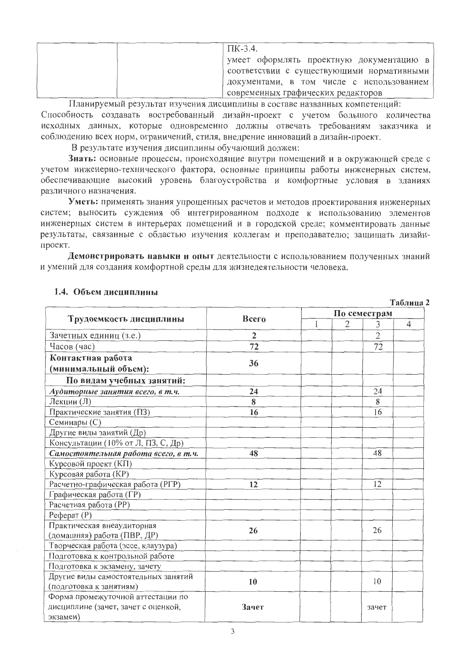| $\Pi$ K-3.4.                                |
|---------------------------------------------|
| умеет оформлять проектную документацию в    |
| соответствии с существующими нормативными [ |
| документами, в том числе с использованием   |
| современных графических редакторов          |

Планируемый результат изучения дисциплины в составе названных компетенций: Способность создавать востребованный дизайн-проект с учетом большого количества исходных данных, которые одновременно должны отвечать требованиям заказчика и соблюдению всех норм, ограничений, стиля, внедрение инноваций в дизайн-проект.

В результате изучения дисциплины обучающий должен:

Знать: основные процессы, происходящие внутри помещений и в окружающей среде с учетом инженерно-технического фактора, основные принципы работы инженерных систем, обеспечивающие высокий уровень благоустройства и комфортные условия в зданиях различного назначения.

Уметь: применять знания упрощенных расчетов и методов проектирования инженерных систем: выносить суждения об интегрированном подходе к использованию элементов инженерных систем в интерьерах помещений и в городской среде; комментировать данные результаты, связанные с областью изучения коллегам и преподавателю; защищать дизайнпроект.

Демонстрировать навыки и опыт деятельности с использованием полученных знаний и умений для создания комфортной среды для жизнедеятельности человека.

|                                      |                |              |                |                | Таблица 2      |
|--------------------------------------|----------------|--------------|----------------|----------------|----------------|
|                                      | Всего          |              |                | По семестрам   |                |
| Трудоемкость дисциплины              |                | $\mathbf{1}$ | $\overline{2}$ | 3              | $\overline{4}$ |
| Зачетных единиц (з.е.)               | $\overline{2}$ |              |                | $\overline{2}$ |                |
| Часов (час)                          | 72             |              |                | 72             |                |
| Контактная работа                    |                |              |                |                |                |
| (минимальный объем):                 | 36             |              |                |                |                |
| По видам учебных занятий:            |                |              |                |                |                |
| Аудиторные занятия всего, в т.ч.     | 24             |              |                | 24             |                |
| Лекции (Л)                           | 8              |              |                | 8              |                |
| Практические занятия (ПЗ)            | 16             |              |                | 16             |                |
| Семинары (С)                         |                |              |                |                |                |
| Другие виды занятий (Др)             |                |              |                |                |                |
| Консультации (10% от Л, ПЗ, С, Др)   |                |              |                |                |                |
| Самостоятельная работа всего, в т.ч. | 48             |              |                | 48             |                |
| Курсовой проект (КП)                 |                |              |                |                |                |
| Курсовая работа (КР)                 |                |              |                |                |                |
| Расчетно-графическая работа (РГР)    | 12             |              |                | 12             |                |
| Графическая работа (ГР)              |                |              |                |                |                |
| Расчетная работа (РР)                |                |              |                |                |                |
| $Pe$ ферат $(P)$                     |                |              |                |                |                |
| Практическая внеаудиторная           | 26             |              |                | 26             |                |
| (домашняя) работа (ПВР, ДР)          |                |              |                |                |                |
| Творческая работа (эссе, клаузура)   |                |              |                |                |                |
| Подготовка к контрольной работе      |                |              |                |                |                |
| Подготовка к экзамену, зачету        |                |              |                |                |                |
| Другие виды самостоятельных занятий  | 10             |              |                | 10             |                |
| (подготовка к занятиям)              |                |              |                |                |                |
| Форма промежуточной аттестации по    |                |              |                |                |                |
| дисциплине (зачет, зачет с оценкой,  | Зачет          |              |                | зачет          |                |
| экзамен)                             |                |              |                |                |                |

#### 1.4. Объем дисциплины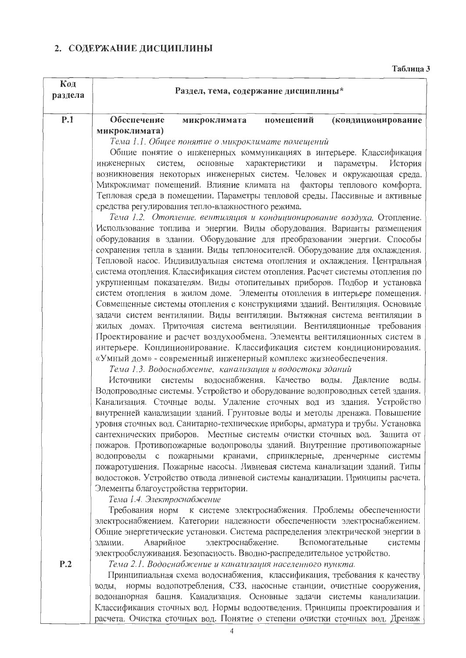# 2. СОДЕРЖАНИЕ ДИСЦИПЛИНЫ

Таблица 3

| Код<br>раздела | Раздел, тема, содержание дисциплины*                                                                                                                       |  |  |  |  |  |  |  |  |
|----------------|------------------------------------------------------------------------------------------------------------------------------------------------------------|--|--|--|--|--|--|--|--|
| P.1            | Обеспечение<br>(кондиционирование<br>помещений<br>микроклимата                                                                                             |  |  |  |  |  |  |  |  |
|                | микроклимата)                                                                                                                                              |  |  |  |  |  |  |  |  |
|                | Тема 1.1. Общее понятие о микроклимате помещений                                                                                                           |  |  |  |  |  |  |  |  |
|                | Общие понятие о инженерных коммуникациях в интерьере. Классификация                                                                                        |  |  |  |  |  |  |  |  |
|                | характеристики<br>параметры.<br>История<br>систем,<br>основные<br>И<br>инженерных                                                                          |  |  |  |  |  |  |  |  |
|                | возникновения некоторых инженерных систем. Человек и окружающая среда.                                                                                     |  |  |  |  |  |  |  |  |
|                | Микроклимат помещений. Влияние климата на факторы теплового комфорта.                                                                                      |  |  |  |  |  |  |  |  |
|                | Тепловая среда в помещении. Параметры тепловой среды. Пассивные и активные<br>средства регулирования тепло-влажностного режима.                            |  |  |  |  |  |  |  |  |
|                | Тема 1.2. Отопление, вентиляция и кондиционирование воздуха. Отопление.                                                                                    |  |  |  |  |  |  |  |  |
|                | Использование топлива и энергии. Виды оборудования. Варианты размещения                                                                                    |  |  |  |  |  |  |  |  |
|                | оборудования в здании. Оборудование для преобразовании энергии. Способы                                                                                    |  |  |  |  |  |  |  |  |
|                | сохранения тепла в здании. Виды теплоносителей. Оборудование для охлаждения.                                                                               |  |  |  |  |  |  |  |  |
|                | Тепловой насос. Индивидуальная система отопления и охлаждения. Центральная                                                                                 |  |  |  |  |  |  |  |  |
|                | система отопления. Классификация систем отопления. Расчет системы отопления по                                                                             |  |  |  |  |  |  |  |  |
|                | укрупненным показателям. Виды отопительных приборов. Подбор и установка                                                                                    |  |  |  |  |  |  |  |  |
|                | систем отопления в жилом доме. Элементы отопления в интерьере помещения.<br>Совмещенные системы отопления с конструкциями зданий. Вентиляция. Основные     |  |  |  |  |  |  |  |  |
|                | задачи систем вентиляции. Виды вентиляции. Вытяжная система вентиляции в                                                                                   |  |  |  |  |  |  |  |  |
|                | жилых домах. Приточная система вентиляции. Вентиляционные требования                                                                                       |  |  |  |  |  |  |  |  |
|                | Проектирование и расчет воздухообмена. Элементы вентиляционных систем в                                                                                    |  |  |  |  |  |  |  |  |
|                | интерьере. Кондиционирование. Классификация систем кондиционирования.                                                                                      |  |  |  |  |  |  |  |  |
|                | «Умный дом» - современный инженерный комплекс жизнеобеспечения.                                                                                            |  |  |  |  |  |  |  |  |
|                | Тема 1.3. Водоснабжение, канализация и водостоки зданий                                                                                                    |  |  |  |  |  |  |  |  |
|                | водоснабжения. Качество<br>воды.<br>Источники системы<br>Давление<br>воды.<br>Водопроводные системы. Устройство и оборудование водопроводных сетей здания. |  |  |  |  |  |  |  |  |
|                | Канализация. Сточные воды. Удаление сточных вод из здания. Устройство                                                                                      |  |  |  |  |  |  |  |  |
|                | внутренней канализации зданий. Грунтовые воды и методы дренажа. Повышение                                                                                  |  |  |  |  |  |  |  |  |
|                | уровня сточных вод. Санитарно-технические приборы, арматура и трубы. Установка                                                                             |  |  |  |  |  |  |  |  |
|                | сантехнических приборов. Местные системы очистки сточных вод. Защита от                                                                                    |  |  |  |  |  |  |  |  |
|                | пожаров. Противопожарные водопроводы зданий. Внутренние противопожарные                                                                                    |  |  |  |  |  |  |  |  |
|                | водопроводы с пожарными кранами, спринклерные, дренчерные системы                                                                                          |  |  |  |  |  |  |  |  |
|                | пожаротушения. Пожарные насосы. Ливневая система канализации зданий. Типы<br>водостоков. Устройство отвода ливневой системы канализации. Принципы расчета. |  |  |  |  |  |  |  |  |
|                | Элементы благоустройства территории.                                                                                                                       |  |  |  |  |  |  |  |  |
|                | Тема 1.4. Электроснабжение                                                                                                                                 |  |  |  |  |  |  |  |  |
|                | Требования норм к системе электроснабжения. Проблемы обеспеченности                                                                                        |  |  |  |  |  |  |  |  |
|                | электроснабжением. Категории надежности обеспеченности электроснабжением.                                                                                  |  |  |  |  |  |  |  |  |
|                | Общие энергетические установки. Система распределения электрической энергии в                                                                              |  |  |  |  |  |  |  |  |
|                | электроснабжение.<br>Вспомогательные<br>Аварийное<br>системы<br>здании.                                                                                    |  |  |  |  |  |  |  |  |
|                | электрообслуживания. Безопасность. Вводно-распределительное устройство.                                                                                    |  |  |  |  |  |  |  |  |
| P.2            | Тема 2.1. Водоснабжение и канализация населенного пункта.<br>Принципиальная схема водоснабжения, классификация, требования к качеству                      |  |  |  |  |  |  |  |  |
|                | воды, нормы водопотребления, СЗЗ, насосные станции, очистные сооружения,                                                                                   |  |  |  |  |  |  |  |  |
|                | водонапорная башня. Канализация. Основные задачи системы канализации.                                                                                      |  |  |  |  |  |  |  |  |
|                | Классификация сточных вод. Нормы водоотведения. Принципы проектирования и                                                                                  |  |  |  |  |  |  |  |  |
|                | расчета. Очистка сточных вод. Понятие о степени очистки сточных вод. Дренаж                                                                                |  |  |  |  |  |  |  |  |

 $\overline{4}$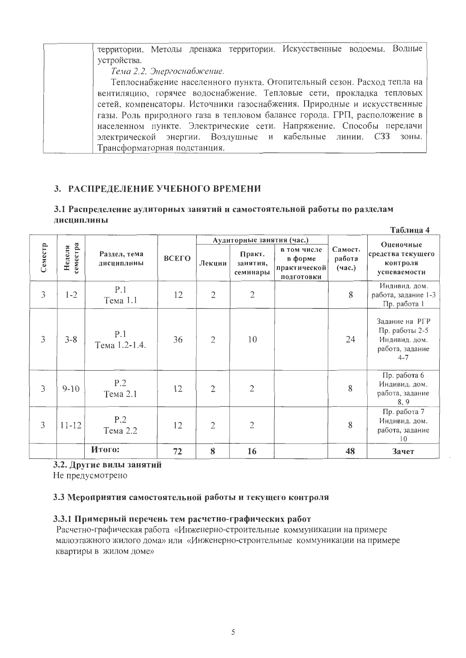территории. Методы дренажа территории. Искусственные водоемы. Водные устройства. Тема 2.2. Энергоснабжение. Теплоснабжение населенного пункта. Отопительный сезон. Расход тепла на вентиляцию, горячее водоснабжение. Тепловые сети, прокладка тепловых сетей, компенсаторы. Источники газоснабжения. Природные и искусственные газы. Роль природного газа в тепловом балансе города. ГРП, расположение в населенном пункте. Электрические сети. Напряжение. Способы передачи электрической энергии. Воздушные и кабельные линии. СЗЗ зоны. Трансформаторная подстанция.

## 3. РАСПРЕДЕЛЕНИЕ УЧЕБНОГО ВРЕМЕНИ

#### 3.1 Распределение аудиторных занятий и самостоятельной работы по разделам лиспиплины

 $T_{\alpha}$ gnuna 1

|                |                    |                            |       |                |                                |                                                      |                             | таолица <del>ч</del>                                                            |
|----------------|--------------------|----------------------------|-------|----------------|--------------------------------|------------------------------------------------------|-----------------------------|---------------------------------------------------------------------------------|
|                |                    |                            |       |                | Аудиторные занятия (час.)      |                                                      |                             | Оценочные                                                                       |
| Семестр        | семестра<br>Неделя | Раздел, тема<br>дисциплины | ВСЕГО | Лекции         | Практ.<br>занятия,<br>семинары | в том числе<br>в форме<br>практической<br>подготовки | Самост.<br>работа<br>(4ac.) | средства текущего<br>контроля<br>успеваемости                                   |
| $\overline{3}$ | $1 - 2$            | P.1<br>Тема 1.1            | 12    | $\overline{2}$ | $\overline{2}$                 |                                                      | 8                           | Индивид. дом.<br>работа, задание 1-3<br>Пр. работа 1                            |
| $\mathfrak{Z}$ | $3 - 8$            | P.1<br>Тема 1.2-1.4.       | 36    | $\overline{2}$ | 10                             |                                                      | 24                          | Задание на РГР<br>Пр. работы 2-5<br>Индивид. дом.<br>работа, задание<br>$4 - 7$ |
| 3              | $9 - 10$           | P.2<br>Тема 2.1            | 12    | $\overline{2}$ | $\overline{2}$                 |                                                      | 8                           | Пр. работа 6<br>Индивид. дом.<br>работа, задание<br>8, 9                        |
| 3              | $11 - 12$          | P.2<br>Тема 2.2            | 12    | $\overline{2}$ | $\overline{2}$                 |                                                      | 8                           | Пр. работа 7<br>Индивид. дом.<br>работа, задание<br>10                          |
|                |                    | Итого:                     | 72    | 8              | 16                             |                                                      | 48                          | Зачет                                                                           |

## 3.2. Другие виды занятий

Не предусмотрено

#### 3.3 Мероприятия самостоятельной работы и текущего контроля

#### 3.3.1 Примерный перечень тем расчетно-графических работ

Расчетно-графическая работа «Инженерно-строительные коммуникации на примере малоэтажного жилого дома» или «Инженерно-строительные коммуникации на примере квартиры в жилом доме»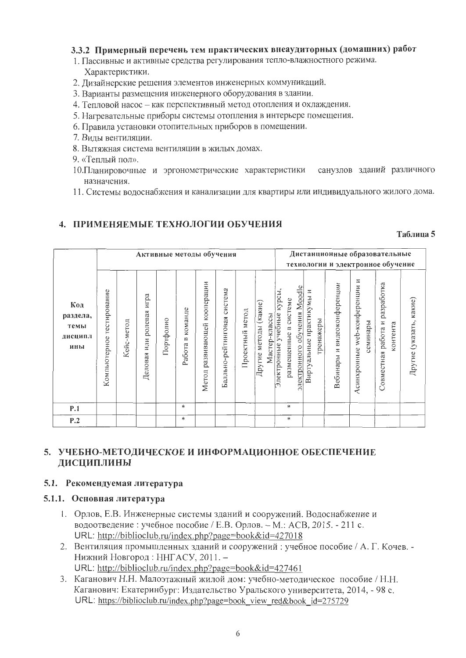#### 3.3.2 Примерный перечень тем практических внеаудиторных (домашних) работ

- 1. Пассивные и активные средства регулирования тепло-влажностного режима. Характеристики.
- 2. Лизайнерские решения элементов инженерных коммуникаций.
- 3. Варианты размещения инженерного оборудования в здании.
- 4. Тепловой насос как перспективный метод отопления и охлаждения.
- 5. Нагревательные приборы системы отопления в интерьере помещения.
- 6. Правила установки отопительных приборов в помещении.
- 7. Вилы вентиляции.
- 8. Вытяжная система вентиляции в жилых домах.
- 9. «Теплый пол».
- 10. Планировочные и эргонометрические характеристики санузлов зданий различного назначения.
- 11. Системы водоснабжения и канализации для квартиры или индивидуального жилого дома.

## 4. ПРИМЕНЯЕМЫЕ ТЕХНОЛОГИИ ОБУЧЕНИЯ

#### Таблина 5

|                                           | Активные методы обучения     |            |                                   |           |                                                     |                                    |                                |                    |                                                |                                                                                    |                                          | Дистанционные образовательные<br>технологии и электронное обучение |                                                 |                                               |                         |
|-------------------------------------------|------------------------------|------------|-----------------------------------|-----------|-----------------------------------------------------|------------------------------------|--------------------------------|--------------------|------------------------------------------------|------------------------------------------------------------------------------------|------------------------------------------|--------------------------------------------------------------------|-------------------------------------------------|-----------------------------------------------|-------------------------|
| Код<br>раздела,<br>темы<br>дисципл<br>ины | тестирование<br>Компьютерное | Кейс-метод | игра<br>ролевая<br>или<br>Деловая | Портфолио | команде<br>$\mathbf{\underline{\square}}$<br>Работа | кооперации<br>развивающей<br>Метод | система<br>Балльно-рейтинговая | метод<br>Проектный | (какие)<br>Мастер-классы<br>методы<br>Другие і | электронного обучения Moodle<br>Электронные учебные курсы<br>размещенные в системе | Ξ<br>Виртуальные практикумы<br>тренажеры | видеоконференции<br>$\overline{z}$<br>Вебинары                     | Z<br>web-конференции<br>семинары<br>Асинхронные | разработка<br>Совместная работа и<br>контента | Другие (указать, какие) |
| <b>P.1</b>                                |                              |            |                                   |           | $\ast$                                              |                                    |                                |                    |                                                | *                                                                                  |                                          |                                                                    |                                                 |                                               |                         |
| P.2                                       |                              |            |                                   |           | $\ast$                                              |                                    |                                |                    |                                                | *                                                                                  |                                          |                                                                    |                                                 |                                               |                         |

## 5. УЧЕБНО-МЕТОДИЧЕСКОЕ И ИНФОРМАЦИОННОЕ ОБЕСПЕЧЕНИЕ ДИСЦИПЛИНЫ

#### 5.1. Рекомендуемая литература

#### 5.1.1. Основная литература

- 1. Орлов, Е.В. Инженерные системы зданий и сооружений. Водоснабжение и водоотведение: учебное пособие / Е.В. Орлов. - М.: АСВ, 2015. - 211 с. URL: http://biblioclub.ru/index.php?page=book&id=427018
- 2. Вентиляция промышленных зданий и сооружений: учебное пособие / А. Г. Кочев. -Нижний Новгород: ННГАСУ, 2011. -URL: http://biblioclub.ru/index.php?page=book&id=427461
- 3. Каганович Н.Н. Малоэтажный жилой дом: учебно-методическое пособие / Н.Н. Каганович: Екатеринбург: Издательство Уральского университета, 2014. - 98 с. URL: https://biblioclub.ru/index.php?page=book view red&book id=275729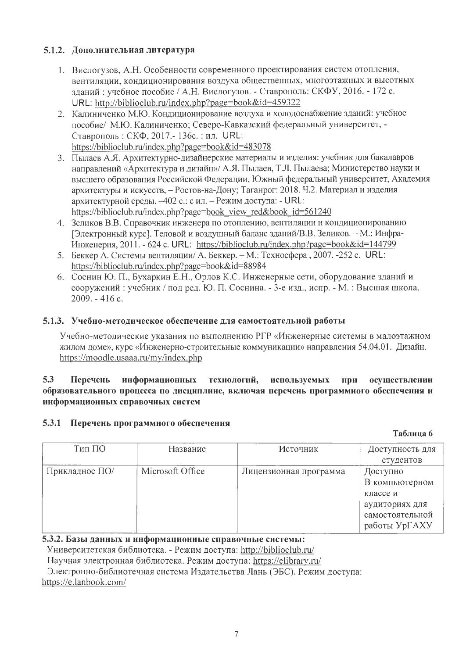## 5.1.2. Дополнительная литература

- 1. Вислогузов, А.Н. Особенности современного проектирования систем отопления, вентиляции, кондиционирования воздуха общественных, многоэтажных и высотных зланий: учебное пособие / А.Н. Вислогузов. - Ставрополь: СКФУ, 2016. - 172 с. URL: http://biblioclub.ru/index.php?page=book&id=459322
- 2. Калиниченко М.Ю. Кондиционирование воздуха и холодоснабжение зданий: учебное пособие/ М.Ю. Калиниченко: Северо-Кавказский федеральный университет, -Ставрополь: СКФ, 2017.-136с.: ил. URL: https://biblioclub.ru/index.php?page=book&id=483078
- 3. Пылаев А.Я. Архитектурно-дизайнерские материалы и изделия: учебник для бакалавров направлений «Архитектура и дизайн»/ А.Я. Пылаев, Т.Л. Пылаева; Министерство науки и высшего образования Российской Федерации, Южный федеральный университет, Академия архитектуры и искусств, - Ростов-на-Дону; Таганрог: 2018. Ч.2. Материал и изделия архитектурной среды. -402 с.: с ил. - Режим доступа: - URL: https://biblioclub.ru/index.php?page=book view red&book id=561240
- 4. Зеликов В.В. Справочник инженера по отоплению, вентиляции и кондиционированию [Электронный курс]. Теловой и воздушный баланс зданий/В.В. Зеликов. - М.: Инфра-Инженерия, 2011. - 624 с. URL: https://biblioclub.ru/index.php?page=book&id=144799
- 5. Беккер А. Системы вентиляции/ А. Беккер. М.: Техносфера, 2007. -252 с. URL: https://biblioclub.ru/index.php?page=book&id=88984
- 6. Соснин Ю. П., Бухаркин Е.Н., Орлов К.С. Инженерные сети, оборудование зданий и сооружений: учебник / под ред. Ю. П. Соснина. - 3-е изд., испр. - М.: Высшая школа, 2009. - 416 c.

## 5.1.3. Учебно-методическое обеспечение для самостоятельной работы

Учебно-методические указания по выполнению PГР «Инженерные системы в малоэтажном жилом доме», курс «Инженерно-строительные коммуникации» направления 54.04.01. Дизайн. https://moodle.usaaa.ru/my/index.php

#### $5.3$ Перечень используемых информационных технологий, при осуществлении образовательного процесса по дисциплине, включая перечень программного обеспечения и информационных справочных систем

## 5.3.1 Перечень программного обеспечения

#### Таблица 6

| Тип ПО         | Название         | Источник               | Доступность для<br>студентов                                                                 |
|----------------|------------------|------------------------|----------------------------------------------------------------------------------------------|
| Прикладное ПО/ | Microsoft Office | Лицензионная программа | Доступно<br>В компьютерном<br>классе и<br>аудиториях для<br>самостоятельной<br>работы УрГАХУ |

#### 5.3.2. Базы данных и информационные справочные системы:

Университетская библиотека. - Режим доступа: http://biblioclub.ru/

Научная электронная библиотека. Режим доступа: https://elibrary.ru/

Электронно-библиотечная система Издательства Лань (ЭБС). Режим доступа: https://e.lanbook.com/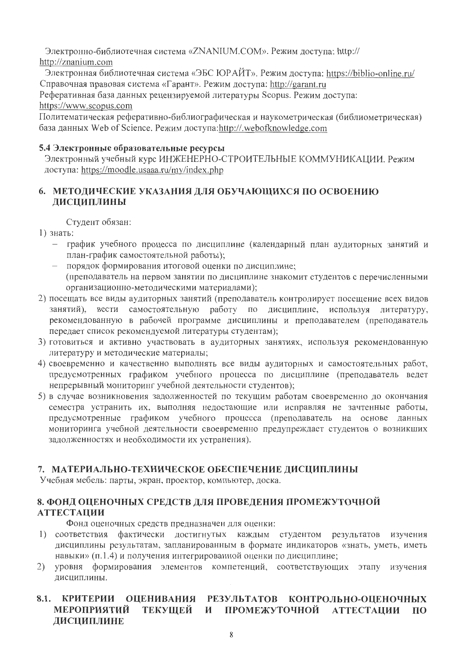Электронно-библиотечная система «ZNANIUM.COM». Режим доступа: http:// http://znanium.com

Электронная библиотечная система «ЭБС ЮРАЙТ». Режим доступа: https://biblio-online.ru/ Справочная правовая система «Гарант». Режим доступа: http://garant.ru

Реферативная база данных рецензируемой литературы Scopus. Режим доступа: https://www.scopus.com

Политематическая реферативно-библиографическая и наукометрическая (библиометрическая) база данных Web of Science. Режим доступа:http://.webofknowledge.com

## 5.4 Электронные образовательные ресурсы

Электронный учебный курс ИНЖЕНЕРНО-СТРОИТЕЛЬНЫЕ КОММУНИКАЦИИ. Режим доступа: https://moodle.usaaa.ru/my/index.php

## 6. МЕТОДИЧЕСКИЕ УКАЗАНИЯ ДЛЯ ОБУЧАЮЩИХСЯ ПО ОСВОЕНИЮ ДИСЦИПЛИНЫ

Студент обязан:

- 1) знать:
	- график учебного процесса по дисциплине (календарный план аудиторных занятий и план-график самостоятельной работы);
	- порядок формирования итоговой оценки по дисциплине; (преподаватель на первом занятии по дисциплине знакомит студентов с перечисленными организационно-методическими материалами);
- 2) посещать все виды аудиторных занятий (преподаватель контролирует посещение всех видов занятий), вести самостоятельную работу по дисциплине, используя литературу, рекомендованную в рабочей программе дисциплины и преподавателем (преподаватель передает список рекомендуемой литературы студентам);
- 3) готовиться и активно участвовать в аудиторных занятиях, используя рекомендованную литературу и методические материалы;
- 4) своевременно и качественно выполнять все виды аудиторных и самостоятельных работ, предусмотренных графиком учебного процесса по дисциплине (преподаватель ведет непрерывный мониторинг учебной деятельности студентов);
- 5) в случае возникновения задолженностей по текущим работам своевременно до окончания семестра устранить их, выполняя недостающие или исправляя не зачтенные работы, предусмотренные графиком учебного процесса (преподаватель на основе данных мониторинга учебной деятельности своевременно предупреждает студентов о возникших задолженностях и необходимости их устранения).

## 7. МАТЕРИАЛЬНО-ТЕХНИЧЕСКОЕ ОБЕСПЕЧЕНИЕ ДИСЦИПЛИНЫ

Учебная мебель: парты, экран, проектор, компьютер, доска.

## 8. ФОНД ОЦЕНОЧНЫХ СРЕДСТВ ДЛЯ ПРОВЕДЕНИЯ ПРОМЕЖУТОЧНОЙ **АТТЕСТАЦИИ**

Фонд оценочных средств предназначен для оценки:

- 1) соответствия фактически достигнутых каждым студентом результатов изучения дисциплины результатам, запланированным в формате индикаторов «знать, уметь, иметь навыки» (п.1.4) и получения интегрированной оценки по дисциплине;
- 2) уровня формирования элементов компетенций, соответствующих этапу изучения дисциплины.

#### 8.1. КРИТЕРИИ ОЦЕНИВАНИЯ РЕЗУЛЬТАТОВ КОНТРОЛЬНО-ОЦЕНОЧНЫХ **МЕРОПРИЯТИЙ** ТЕКУЩЕЙ И ПРОМЕЖУТОЧНОЙ АТТЕСТАЦИИ ПО ЛИСЦИПЛИНЕ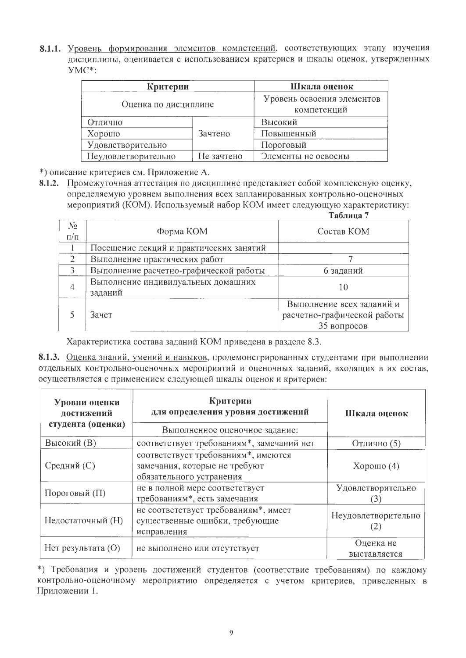8.1.1. Уровень формирования элементов компетенций, соответствующих этапу изучения дисциплины, оценивается с использованием критериев и шкалы оценок, утвержденных YMC\*:

| Критерии             | Шкала оценок                              |                     |
|----------------------|-------------------------------------------|---------------------|
| Оценка по дисциплине | Уровень освоения элементов<br>компетенций |                     |
| Отлично              |                                           | Высокий             |
| Хорошо               | Зачтено                                   | Повышенный          |
| Удовлетворительно    |                                           | Пороговый           |
| Неудовлетворительно  | Не зачтено                                | Элементы не освоены |

\*) описание критериев см. Приложение А.

8.1.2. Промежуточная аттестация по дисциплине представляет собой комплексную оценку, определяемую уровнем выполнения всех запланированных контрольно-оценочных мероприятий (КОМ). Используемый набор КОМ имеет следующую характеристику:

|                |                                         | Таблица 7                   |  |
|----------------|-----------------------------------------|-----------------------------|--|
| $N_2$          |                                         |                             |  |
| $\Pi/\Pi$      | Форма КОМ                               | Состав КОМ                  |  |
|                | Посещение лекций и практических занятий |                             |  |
| $\overline{2}$ | Выполнение практических работ           |                             |  |
|                | Выполнение расчетно-графической работы  | 6 заданий                   |  |
|                | Выполнение индивидуальных домашних      |                             |  |
|                | заданий                                 | 10                          |  |
|                |                                         | Выполнение всех заданий и   |  |
|                | Зачет                                   | расчетно-графической работы |  |
|                |                                         | 35 вопросов                 |  |

Характеристика состава заданий КОМ приведена в разделе 8.3.

8.1.3. Оценка знаний, умений и навыков, продемонстрированных студентами при выполнении отдельных контрольно-оценочных мероприятий и оценочных заданий, входящих в их состав, осуществляется с применением следующей шкалы оценок и критериев:

| Уровни оценки<br>достижений<br>студента (оценки) | Критерии<br>для определения уровня достижений<br>Выполненное оценочное задание:                  | Шкала оценок              |
|--------------------------------------------------|--------------------------------------------------------------------------------------------------|---------------------------|
| Высокий (В)                                      | соответствует требованиям*, замечаний нет                                                        | Отлично (5)               |
| Средний (С)                                      | соответствует требованиям*, имеются<br>замечания, которые не требуют<br>обязательного устранения | Хорошо $(4)$              |
| Пороговый (П)                                    | не в полной мере соответствует<br>требованиям*, есть замечания                                   | Удовлетворительно         |
| Недостаточный (H)                                | не соответствует требованиям*, имеет<br>существенные ошибки, требующие<br>исправления            | Неудовлетворительно       |
| Нет результата $(O)$                             | не выполнено или отсутствует                                                                     | Оценка не<br>выставляется |

\*) Требования и уровень достижений студентов (соответствие требованиям) по каждому контрольно-оценочному мероприятию определяется с учетом критериев, приведенных в Приложении 1.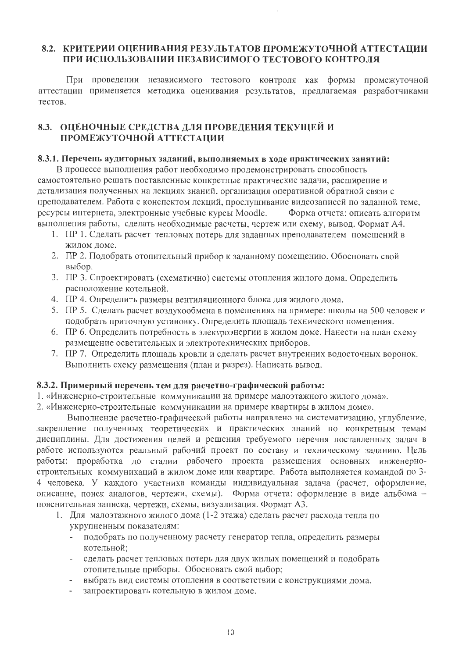## 8.2. КРИТЕРИИ ОПЕНИВАНИЯ РЕЗУЛЬТАТОВ ПРОМЕЖУТОЧНОЙ АТТЕСТАЦИИ ПРИ ИСПОЛЬЗОВАНИИ НЕЗАВИСИМОГО ТЕСТОВОГО КОНТРОЛЯ

При проведении независимого тестового контроля как формы промежуточной аттестации применяется методика оценивания результатов, предлагаемая разработчиками тестов.

## 8.3. ОЦЕНОЧНЫЕ СРЕДСТВА ДЛЯ ПРОВЕДЕНИЯ ТЕКУЩЕЙ И ПРОМЕЖУТОЧНОЙ АТТЕСТАЦИИ

#### 8.3.1. Перечень аудиторных заданий, выполняемых в ходе практических занятий:

В процессе выполнения работ необходимо продемонстрировать способность самостоятельно решать поставленные конкретные практические задачи, расширение и детализация полученных на лекциях знаний, организация оперативной обратной связи с преподавателем. Работа с конспектом лекций, прослушивание видеозаписей по заданной теме, ресурсы интернета, электронные учебные курсы Moodle. Форма отчета: описать алгоритм выполнения работы, сделать необходимые расчеты, чертеж или схему, вывод. Формат А4.

- 1. ПР 1. Сделать расчет тепловых потерь для заданных преподавателем помещений в жилом доме.
- 2. ПР 2. Подобрать отопительный прибор к заданному помещению. Обосновать свой выбор.
- 3. ПР 3. Спроектировать (схематично) системы отопления жилого дома. Определить расположение котельной.
- 4. ПР 4. Определить размеры вентиляционного блока для жилого дома.
- 5. ПР 5. Сделать расчет воздухообмена в помещениях на примере: школы на 500 человек и подобрать приточную установку. Определить площадь технического помещения.
- 6. ПР 6. Определить потребность в электроэнергии в жилом доме. Нанести на план схему размешение осветительных и электротехнических приборов.
- 7. ПР 7. Определить площадь кровли и сделать расчет внутренних водосточных воронок. Выполнить схему размещения (план и разрез). Написать вывод.

#### 8.3.2. Примерный перечень тем для расчетно-графической работы:

1. «Инженерно-строительные коммуникации на примере малоэтажного жилого дома».

2. «Инженерно-строительные коммуникации на примере квартиры в жилом доме».

Выполнение расчетно-графической работы направлено на систематизацию, углубление, закрепление полученных теоретических и практических знаний по конкретным темам дисциплины. Для достижения целей и решения требуемого перечня поставленных задач в работе используются реальный рабочий проект по составу и техническому заданию. Цель работы: проработка до стадии рабочего проекта размещения основных инженерностроительных коммуникаций в жилом доме или квартире. Работа выполняется командой по 3-4 человека. У каждого участника команды индивидуальная задача (расчет, оформление, описание, поиск аналогов, чертежи, схемы). Форма отчета: оформление в виде альбома пояснительная записка, чертежи, схемы, визуализация. Формат АЗ.

- 1. Для малоэтажного жилого дома (1-2 этажа) сделать расчет расхода тепла по укрупненным показателям:
	- подобрать по полученному расчету генератор тепла, определить размеры котельной:
	- сделать расчет тепловых потерь для двух жилых помещений и подобрать отопительные приборы. Обосновать свой выбор;
	- выбрать вид системы отопления в соответствии с конструкциями дома.  $\omega_{\rm{max}}$
	- запроектировать котельную в жилом доме.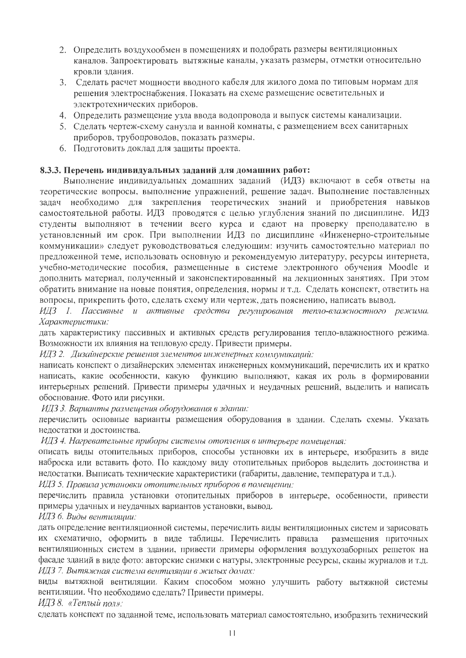- 2. Определить воздухообмен в помещениях и подобрать размеры вентиляционных каналов. Запроектировать вытяжные каналы, указать размеры, отметки относительно кровли здания.
- 3. Сделать расчет мощности вводного кабеля для жилого дома по типовым нормам для решения электроснабжения. Показать на схеме размещение осветительных и электротехнических приборов.
- 4. Определить размещение узла ввода водопровода и выпуск системы канализации.
- 5. Сделать чертеж-схему санузла и ванной комнаты, с размещением всех санитарных приборов, трубопроводов, показать размеры.
- 6. Подготовить доклад для защиты проекта.

#### 8.3.3. Перечень индивидуальных заданий для домашних работ:

Выполнение индивидуальных домашних заданий (ИДЗ) включают в себя ответы на теоретические вопросы, выполнение упражнений, решение задач. Выполнение поставленных задач необходимо для закрепления теоретических знаний и приобретения навыков самостоятельной работы. ИДЗ проводятся с целью углубления знаний по дисциплине. ИДЗ студенты выполняют в течении всего курса и сдают на проверку преподавателю в установленный им срок. При выполнении ИДЗ по дисциплине «Инженерно-строительные коммуникации» следует руководствоваться следующим: изучить самостоятельно материал по предложенной теме, использовать основную и рекомендуемую литературу, ресурсы интернета, учебно-методические пособия, размещенные в системе электронного обучения Moodle и дополнить материал, полученный и законспектированный на лекционных занятиях. При этом обратить внимание на новые понятия, определения, нормы и т.д. Сделать конспект, ответить на вопросы, прикрепить фото, сделать схему или чертеж, дать пояснению, написать вывод.

ИДЗ 1. Пассивные и активные средства регулирования тепло-влажностного режима. Характеристики:

дать характеристику пассивных и активных средств регулирования тепло-влажностного режима. Возможности их влияния на тепловую среду. Привести примеры.

ИДЗ 2. Дизайнерские решения элементов инженерных коммуникаций:

написать конспект о дизайнерских элементах инженерных коммуникаций, перечислить их и кратко написать, какие особенности, какую функцию выполняют, какая их роль в формировании интерьерных решений. Привести примеры удачных и неудачных решений, выделить и написать обоснование. Фото или рисунки.

ИДЗ 3. Варианты размещения оборудования в здании:

перечислить основные варианты размещения оборудования в здании. Сделать схемы. Указать недостатки и достоинства.

ИДЗ 4. Нагревательные приборы системы отопления в интерьере помещения:

описать виды отопительных приборов, способы установки их в интерьере, изобразить в виде наброска или вставить фото. По каждому виду отопительных приборов выделить достоинства и недостатки. Выписать технические характеристики (габариты, давление, температура и т.д.).

ИДЗ 5. Правила установки отопительных приборов в помещении:

перечислить правила установки отопительных приборов в интерьере, особенности, привести примеры удачных и неудачных вариантов установки, вывод.

ИДЗ 6. Виды вентиляции:

дать определение вентиляционной системы, перечислить виды вентиляционных систем и зарисовать их схематично, оформить в виде таблицы. Перечислить правила размещения приточных вентиляционных систем в здании, привести примеры оформления воздухозаборных решеток на фасаде зданий в виде фото: авторские снимки с натуры, электронные ресурсы, сканы журналов и т.д. ИДЗ 7. Вытяжная система вентиляции в жилых домах:

виды вытяжной вентиляции. Каким способом можно улучшить работу вытяжной системы вентиляции. Что необходимо сделать? Привести примеры.

ИДЗ 8. «Теплый пол»:

сделать конспект по заданной теме, использовать материал самостоятельно, изобразить технический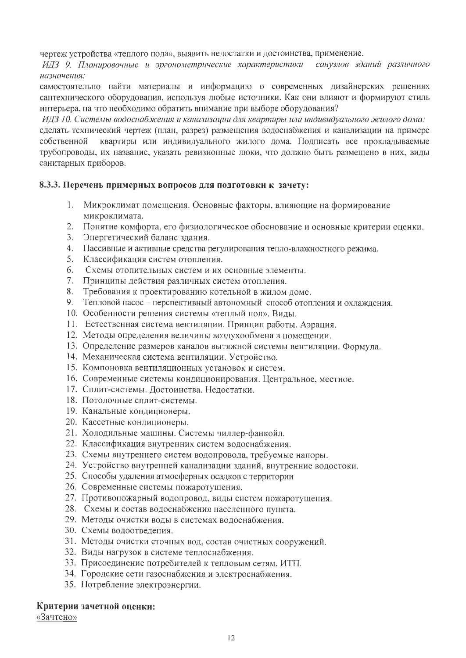чертеж устройства «теплого пола», выявить недостатки и достоинства, применение.

ИДЗ 9. Планировочные и эргонометрические характеристики санузлов зданий различного назначения:

самостоятельно найти материалы и информацию о современных дизайнерских решениях сантехнического оборудования, используя любые источники. Как они влияют и формируют стиль интерьера, на что необходимо обратить внимание при выборе оборудования?

ИДЗ 10. Системы водоснабжения и канализации для квартиры или индивидуального жилого дома:

сделать технический чертеж (план, разрез) размещения водоснабжения и канализации на примере собственной квартиры или индивидуального жилого дома. Подписать все прокладываемые трубопроводы, их название, указать ревизионные люки, что должно быть размещено в них, виды санитарных приборов.

## 8.3.3. Перечень примерных вопросов для подготовки к зачету:

- 1. Микроклимат помещения. Основные факторы, влияющие на формирование микроклимата.
- 2. Понятие комфорта, его физиологическое обоснование и основные критерии оценки.
- 3. Энергетический баланс здания.
- 4. Пассивные и активные средства регулирования тепло-влажностного режима.
- 5. Классификация систем отопления.
- 6. Схемы отопительных систем и их основные элементы.
- 7. Принципы действия различных систем отопления.
- 8. Требования к проектированию котельной в жилом доме.
- 9. Тепловой насос перспективный автономный способ отопления и охлаждения.
- 10. Особенности решения системы «теплый пол». Виды.
- 11. Естественная система вентиляции. Принцип работы. Аэрация.
- 12. Методы определения величины воздухообмена в помещении.
- 13. Определение размеров каналов вытяжной системы вентиляции. Формула.
- 14. Механическая система вентиляции. Устройство.
- 15. Компоновка вентиляционных установок и систем.
- 16. Современные системы кондиционирования. Центральное, местное.
- 17. Сплит-системы. Достоинства. Недостатки.
- 18. Потолочные сплит-системы.
- 19. Канальные кондиционеры.
- 20. Кассетные кондиционеры.
- 21. Холодильные машины. Системы чиллер-фанкойл.
- 22. Классификация внутренних систем водоснабжения.
- 23. Схемы внутреннего систем водопровода, требуемые напоры.
- 24. Устройство внутренней канализации зданий, внутренние водостоки.
- 25. Способы удаления атмосферных осадков с территории
- 26. Современные системы пожаротушения.
- 27. Противопожарный водопровод, виды систем пожаротушения.
- 28. Схемы и состав водоснабжения населенного пункта.
- 29. Методы очистки воды в системах водоснабжения.
- 30. Схемы водоотведения.
- 31. Методы очистки сточных вод, состав очистных сооружений.
- 32. Виды нагрузок в системе теплоснабжения.
- 33. Присоединение потребителей к тепловым сетям. ИТП.
- 34. Городские сети газоснабжения и электроснабжения.
- 35. Потребление электроэнергии.

#### Критерии зачетной оценки:

«Зачтено»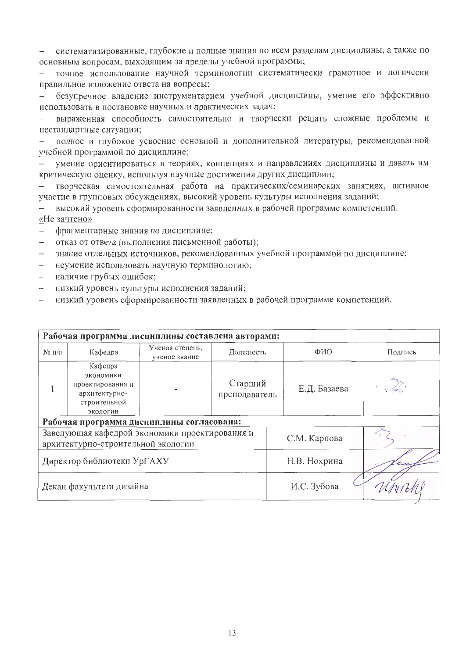систематизированные, глубокие и полные знания по всем разделам дисциплины, а также по  $\frac{1}{2}$ основным вопросам, выходящим за пределы учебной программы;

точное использование научной терминологии систематически грамотное и логически  $\equiv$ правильное изложение ответа на вопросы;

безупречное владение инструментарием учебной дисциплины, умение его эффективно использовать в постановке научных и практических задач;

выраженная способность самостоятельно и творчески решать сложные проблемы и нестандартные ситуации;

полное и глубокое усвоение основной и дополнительной литературы, рекомендованной учебной программой по дисциплине;

умение ориентироваться в теориях, концепциях и направлениях дисциплины и давать им критическую оценку, используя научные достижения других дисциплин;

творческая самостоятельная работа на практических/семинарских занятиях, активное участие в групповых обсуждениях, высокий уровень культуры исполнения заданий;

высокий уровень сформированности заявленных в рабочей программе компетенций. «Не зачтено»

- фрагментарные знания по дисциплине;  $\equiv$
- отказ от ответа (выполнения письменной работы);  $\equiv$
- знание отдельных источников, рекомендованных учебной программой по дисциплине;
- неумение использовать научную терминологию;
- наличие грубых ошибок;
- низкий уровень культуры исполнения заданий;
- низкий уровень сформированности заявленных в рабочей программе компетенций.

| Рабочая программа дисциплины составлена авторами: |                                                                                       |                                  |                          |              |         |  |  |  |
|---------------------------------------------------|---------------------------------------------------------------------------------------|----------------------------------|--------------------------|--------------|---------|--|--|--|
| $N_2 \pi/n$                                       | Кафедра                                                                               | Ученая степень,<br>ученое звание | Должность                | ФИО          | Подпись |  |  |  |
|                                                   | Кафедра<br>экономики<br>проектирования и<br>архитектурно-<br>строительной<br>экологии |                                  | Старший<br>преподаватель | Е.Д. Базаева |         |  |  |  |
|                                                   | Рабочая программа дисциплины согласована:                                             |                                  |                          |              |         |  |  |  |
|                                                   | Заведующая кафедрой экономики проектирования и<br>архитектурно-строительной экологии  |                                  |                          | С.М. Карпова |         |  |  |  |
|                                                   | Директор библиотеки УрГАХУ                                                            |                                  |                          | Н.В. Нохрина |         |  |  |  |
|                                                   | Декан факультета дизайна                                                              |                                  |                          | И.С. Зубова  |         |  |  |  |